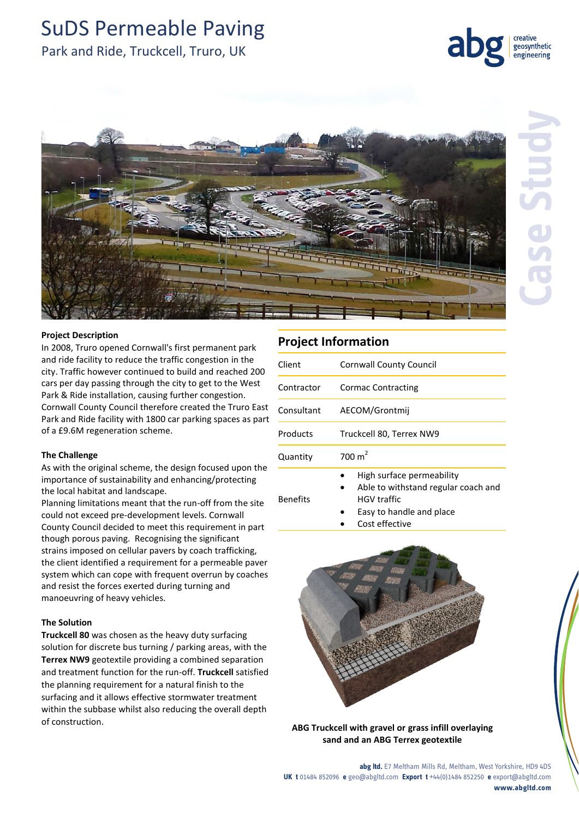# SuDS Permeable Paving

# Park and Ride, Truckcell, Truro, UK



geosynthetic engineering

#### **Project Description**

In 2008, Truro opened Cornwall's first permanent park and ride facility to reduce the traffic congestion in the city. Traffic however continued to build and reached 200 cars per day passing through the city to get to the West Park & Ride installation, causing further congestion. Cornwall County Council therefore created the Truro East Park and Ride facility with 1800 car parking spaces as part of a £9.6M regeneration scheme.

#### **The Challenge**

As with the original scheme, the design focused upon the importance of sustainability and enhancing/protecting the local habitat and landscape.

Planning limitations meant that the run-off from the site could not exceed pre-development levels. Cornwall County Council decided to meet this requirement in part though porous paving. Recognising the significant strains imposed on cellular pavers by coach trafficking, the client identified a requirement for a permeable paver system which can cope with frequent overrun by coaches and resist the forces exerted during turning and manoeuvring of heavy vehicles.

### **The Solution**

**Truckcell 80** was chosen as the heavy duty surfacing solution for discrete bus turning / parking areas, with the **Terrex NW9** geotextile providing a combined separation and treatment function for the run-off. **Truckcell** satisfied the planning requirement for a natural finish to the surfacing and it allows effective stormwater treatment within the subbase whilst also reducing the overall depth of construction.

## **Project Information**

Benefits

| Client     | <b>Cornwall County Council</b> |
|------------|--------------------------------|
| Contractor | <b>Cormac Contracting</b>      |
| Consultant | AECOM/Grontmij                 |
| Products   | Truckcell 80, Terrex NW9       |
| Quantity   | 700 $m2$                       |
|            | High surface permeability      |

- Able to withstand regular coach and HGV traffic
- Easy to handle and place
- Cost effective



**ABG Truckcell with gravel or grass infill overlaying sand and an ABG Terrex geotextile**